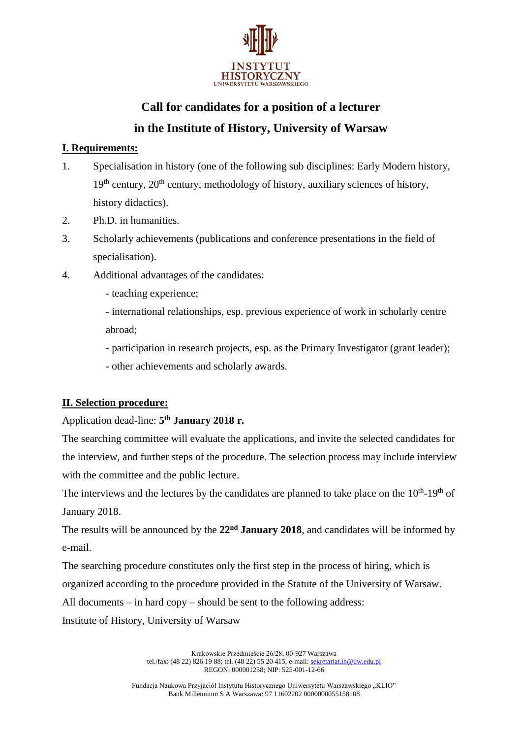

# **Call for candidates for a position of a lecturer in the Institute of History, University of Warsaw**

### **I. Requirements:**

- 1. Specialisation in history (one of the following sub disciplines: Early Modern history,  $19<sup>th</sup>$  century,  $20<sup>th</sup>$  century, methodology of history, auxiliary sciences of history, history didactics).
- 2. Ph.D. in humanities.
- 3. Scholarly achievements (publications and conference presentations in the field of specialisation).
- 4. Additional advantages of the candidates:
	- teaching experience;

- international relationships, esp. previous experience of work in scholarly centre abroad;

- participation in research projects, esp. as the Primary Investigator (grant leader);

- other achievements and scholarly awards.

### **II. Selection procedure:**

Application dead-line: **5 th January 2018 r.**

The searching committee will evaluate the applications, and invite the selected candidates for the interview, and further steps of the procedure. The selection process may include interview with the committee and the public lecture.

The interviews and the lectures by the candidates are planned to take place on the  $10<sup>th</sup>$ -19<sup>th</sup> of January 2018.

The results will be announced by the **22nd January 2018**, and candidates will be informed by e-mail.

The searching procedure constitutes only the first step in the process of hiring, which is

organized according to the procedure provided in the Statute of the University of Warsaw.

All documents – in hard copy – should be sent to the following address:

Institute of History, University of Warsaw

Krakowskie Przedmieście 26/28; 00-927 Warszawa tel./fax: (48 22) 826 19 88; tel. (48 22) 55 20 415; e-mail[: sekretariat.ih@uw.edu.pl](mailto:sekretariat.ih@uw.edu.pl) REGON: 000001258; NIP: 525-001-12-66